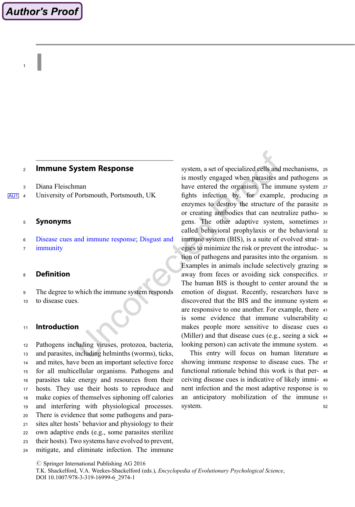# **Author's Proof**

 $\begin{array}{ccc} & & \end{array}$ 

#### <sup>2</sup> Immune System Response

<sup>3</sup> Diana Fleischman

AU1 4 University of Portsmouth, Portsmouth, UK

#### <sup>5</sup> Synonyms

- <sup>6</sup> Disease cues and immune response; Disgust and
- <sup>7</sup> immunity

### <sup>8</sup> Definition

- <sup>9</sup> The degree to which the immune system responds
- <sup>10</sup> to disease cues.

#### <sup>11</sup> Introduction

 Pathogens including viruses, protozoa, bacteria, and parasites, including helminths (worms), ticks, and mites, have been an important selective force for all multicellular organisms. Pathogens and parasites take energy and resources from their hosts. They use their hosts to reproduce and make copies of themselves siphoning off calories and interfering with physiological processes. There is evidence that some pathogens and para- sites alter hosts' behavior and physiology to their own adaptive ends (e.g., some parasites sterilize their hosts). Two systems have evolved to prevent, mitigate, and eliminate infection. The immune system, a set of specialized cells and mechanisms, <sup>25</sup> is mostly engaged when parasites and pathogens <sup>26</sup> have entered the organism. The immune system <sup>27</sup> fights infection by, for example, producing <sup>28</sup> enzymes to destroy the structure of the parasite <sup>29</sup> or creating antibodies that can neutralize patho- <sup>30</sup> gens. The other adaptive system, sometimes <sup>31</sup> called behavioral prophylaxis or the behavioral <sup>32</sup> immune system (BIS), is a suite of evolved strat- <sup>33</sup> egies to minimize the risk or prevent the introduc- <sup>34</sup> tion of pathogens and parasites into the organism. <sup>35</sup> Examples in animals include selectively grazing <sup>36</sup> away from feces or avoiding sick conspecifics. <sup>37</sup> The human BIS is thought to center around the <sup>38</sup> emotion of disgust. Recently, researchers have <sup>39</sup> discovered that the BIS and the immune system <sup>40</sup> are responsive to one another. For example, there <sup>41</sup> is some evidence that immune vulnerability <sup>42</sup> makes people more sensitive to disease cues <sup>43</sup> (Miller) and that disease cues (e.g., seeing a sick <sup>44</sup> looking person) can activate the immune system. <sup>45</sup>

This entry will focus on human literature <sup>46</sup> showing immune response to disease cues. The <sup>47</sup> functional rationale behind this work is that per- <sup>48</sup> ceiving disease cues is indicative of likely immi- <sup>49</sup> nent infection and the most adaptive response is <sup>50</sup> an anticipatory mobilization of the immune <sup>51</sup> system. 52

 $\oslash$  Springer International Publishing AG 2016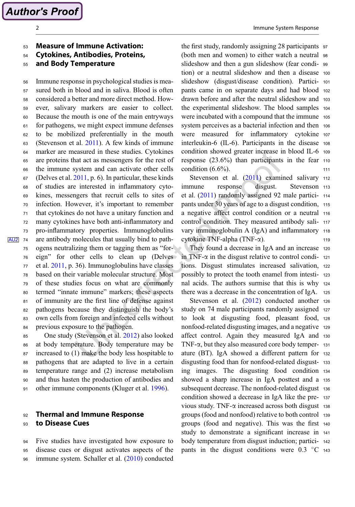**Author's Proof** 

# <sup>53</sup> Measure of Immune Activation:

<sup>54</sup> Cytokines, Antibodies, Proteins,

<sup>55</sup> and Body Temperature

 Immune response in psychological studies is mea- sured both in blood and in saliva. Blood is often considered a better and more direct method. How- ever, salivary markers are easier to collect. Because the mouth is one of the main entryways for pathogens, we might expect immune defenses to be mobilized preferentially in the mouth (Stevenson et al. 2011). A few kinds of immune marker are measured in these studies. Cytokines are proteins that act as messengers for the rest of the immune system and can activate other cells (Delves et al. 2011, p. 6). In particular, these kinds of studies are interested in inflammatory cyto- kines, messengers that recruit cells to sites of infection. However, it's important to remember that cytokines do not have a unitary function and many cytokines have both anti-inflammatory and pro-inflammatory properties. Immunoglobulins AU2 74 are antibody molecules that usually bind to path- ogens neutralizing them or tagging them as "for- eign" for other cells to clean up (Delves et al. 2011, p. 36). Immunoglobulins have classes based on their variable molecular structure. Most of these studies focus on what are commonly termed "innate immune" markers; these aspects of immunity are the first line of defense against pathogens because they distinguish the body's own cells from foreign and infected cells without previous exposure to the pathogen.

 One study (Stevenson et al. 2012) also looked at body temperature. Body temperature may be increased to (1) make the body less hospitable to pathogens that are adapted to live in a certain temperature range and (2) increase metabolism and thus hasten the production of antibodies and other immune components (Kluger et al. 1996).

## 92 Thermal and Immune Response 93 **to Disease Cues**

<sup>94</sup> Five studies have investigated how exposure to <sup>95</sup> disease cues or disgust activates aspects of the <sup>96</sup> immune system. Schaller et al. (2010) conducted

the first study, randomly assigning 28 participants <sup>97</sup> (both men and women) to either watch a neutral <sup>98</sup> slideshow and then a gun slideshow (fear condi- <sup>99</sup> tion) or a neutral slideshow and then a disease <sup>100</sup> slideshow (disgust/disease condition). Partici- <sup>101</sup> pants came in on separate days and had blood <sup>102</sup> drawn before and after the neutral slideshow and <sup>103</sup> the experimental slideshow. The blood samples <sup>104</sup> were incubated with a compound that the immune <sup>105</sup> system perceives as a bacterial infection and then 106 were measured for inflammatory cytokine <sup>107</sup> interleukin-6 (IL-6). Participants in the disease <sup>108</sup> condition showed greater increase in blood IL-6 <sup>109</sup> response (23.6%) than participants in the fear <sup>110</sup> condition  $(6.6\%)$ . 111

Stevenson et al. (2011) examined salivary 112 immune response disgust. Stevenson <sup>113</sup> et al. (2011) randomly assigned 92 male partici- <sup>114</sup> pants under 30 years of age to a disgust condition, <sup>115</sup> a negative affect control condition or a neutral <sup>116</sup> control condition. They measured antibody sali- <sup>117</sup> vary immunoglobulin A (IgA) and inflammatory <sup>118</sup>  $cy$ tokine TNF-alpha (TNF- $\alpha$ ). 119

They found a decrease in IgA and an increase <sup>120</sup> in TNF- $\alpha$  in the disgust relative to control condi- 121 tions. Disgust stimulates increased salivation, <sup>122</sup> possibly to protect the tooth enamel from intesti- <sup>123</sup> nal acids. The authors surmise that this is why <sup>124</sup> there was a decrease in the concentration of IgA.

Stevenson et al. (2012) conducted another 126 study on 74 male participants randomly assigned <sup>127</sup> to look at disgusting food, pleasant food, <sup>128</sup> nonfood-related disgusting images, and a negative <sup>129</sup> affect control. Again they measured IgA and <sup>130</sup> TNF- $\alpha$ , but they also measured core body temper- 131 ature (BT). IgA showed a different pattern for <sup>132</sup> disgusting food than for nonfood-related disgust- <sup>133</sup> ing images. The disgusting food condition <sup>134</sup> showed a sharp increase in IgA posttest and a <sup>135</sup> subsequent decrease. The nonfood-related disgust 136 condition showed a decrease in IgA like the pre- <sup>137</sup> vious study. TNF- $\alpha$  increased across both disgust 138 groups (food and nonfood) relative to both control <sup>139</sup> groups (food and negative). This was the first <sup>140</sup> study to demonstrate a significant increase in <sup>141</sup> body temperature from disgust induction; partici- <sup>142</sup> pants in the disgust conditions were  $0.3 \degree$ C 143